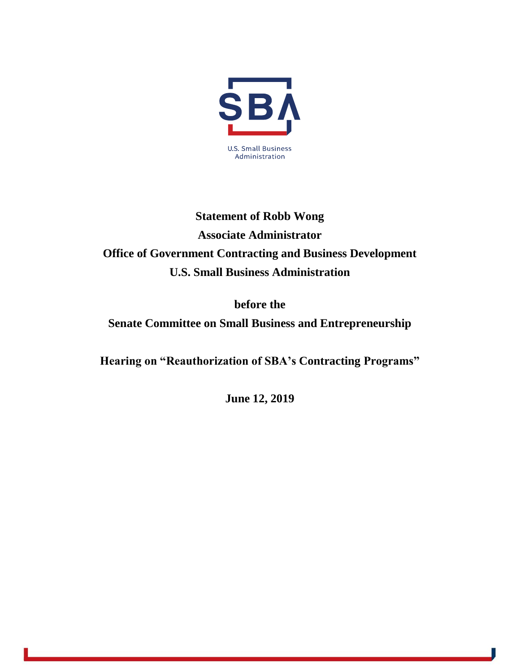

## **Statement of Robb Wong Associate Administrator Office of Government Contracting and Business Development U.S. Small Business Administration**

**before the**

**Senate Committee on Small Business and Entrepreneurship**

**Hearing on "Reauthorization of SBA's Contracting Programs"**

**June 12, 2019**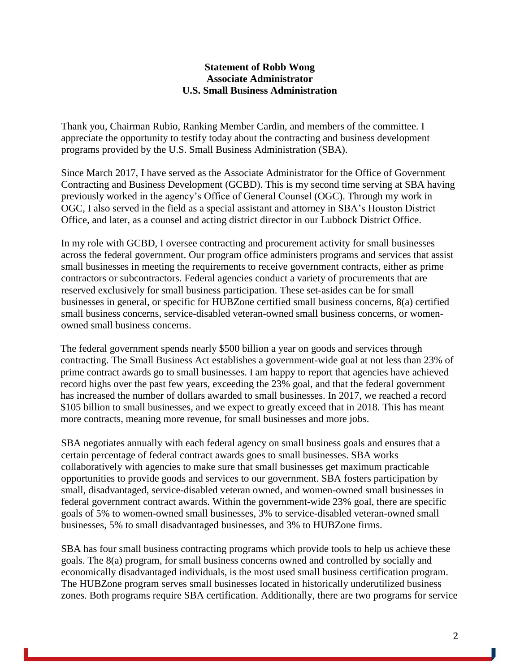## **Statement of Robb Wong Associate Administrator U.S. Small Business Administration**

Thank you, Chairman Rubio, Ranking Member Cardin, and members of the committee. I appreciate the opportunity to testify today about the contracting and business development programs provided by the U.S. Small Business Administration (SBA).

Since March 2017, I have served as the Associate Administrator for the Office of Government Contracting and Business Development (GCBD). This is my second time serving at SBA having previously worked in the agency's Office of General Counsel (OGC). Through my work in OGC, I also served in the field as a special assistant and attorney in SBA's Houston District Office, and later, as a counsel and acting district director in our Lubbock District Office.

In my role with GCBD, I oversee contracting and procurement activity for small businesses across the federal government. Our program office administers programs and services that assist small businesses in meeting the requirements to receive government contracts, either as prime contractors or subcontractors. Federal agencies conduct a variety of procurements that are reserved exclusively for small business participation. These set-asides can be for small businesses in general, or specific for HUBZone certified small business concerns, 8(a) certified small business concerns, service-disabled veteran-owned small business concerns, or womenowned small business concerns.

The federal government spends nearly \$500 billion a year on goods and services through contracting. The Small Business Act establishes a government-wide goal at not less than 23% of prime contract awards go to small businesses. I am happy to report that agencies have achieved record highs over the past few years, exceeding the 23% goal, and that the federal government has increased the number of dollars awarded to small businesses. In 2017, we reached a record \$105 billion to small businesses, and we expect to greatly exceed that in 2018. This has meant more contracts, meaning more revenue, for small businesses and more jobs.

SBA negotiates annually with each federal agency on small business goals and ensures that a certain percentage of federal contract awards goes to small businesses. SBA works collaboratively with agencies to make sure that small businesses get maximum practicable opportunities to provide goods and services to our government. SBA fosters participation by small, disadvantaged, service-disabled veteran owned, and women-owned small businesses in federal government contract awards. Within the government-wide 23% goal, there are specific goals of 5% to women-owned small businesses, 3% to service-disabled veteran-owned small businesses, 5% to small disadvantaged businesses, and 3% to HUBZone firms.

SBA has four small business contracting programs which provide tools to help us achieve these goals. The 8(a) program, for small business concerns owned and controlled by socially and economically disadvantaged individuals, is the most used small business certification program. The HUBZone program serves small businesses located in historically underutilized business zones. Both programs require SBA certification. Additionally, there are two programs for service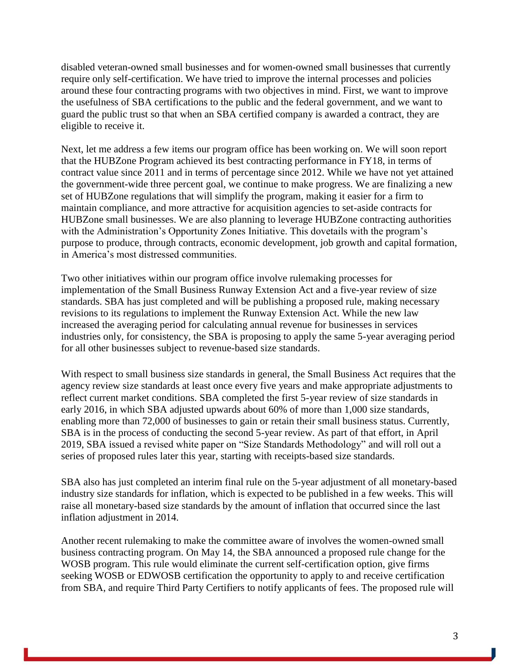disabled veteran-owned small businesses and for women-owned small businesses that currently require only self-certification. We have tried to improve the internal processes and policies around these four contracting programs with two objectives in mind. First, we want to improve the usefulness of SBA certifications to the public and the federal government, and we want to guard the public trust so that when an SBA certified company is awarded a contract, they are eligible to receive it.

Next, let me address a few items our program office has been working on. We will soon report that the HUBZone Program achieved its best contracting performance in FY18, in terms of contract value since 2011 and in terms of percentage since 2012. While we have not yet attained the government-wide three percent goal, we continue to make progress. We are finalizing a new set of HUBZone regulations that will simplify the program, making it easier for a firm to maintain compliance, and more attractive for acquisition agencies to set-aside contracts for HUBZone small businesses. We are also planning to leverage HUBZone contracting authorities with the Administration's Opportunity Zones Initiative. This dovetails with the program's purpose to produce, through contracts, economic development, job growth and capital formation, in America's most distressed communities.

Two other initiatives within our program office involve rulemaking processes for implementation of the Small Business Runway Extension Act and a five-year review of size standards. SBA has just completed and will be publishing a proposed rule, making necessary revisions to its regulations to implement the Runway Extension Act. While the new law increased the averaging period for calculating annual revenue for businesses in services industries only, for consistency, the SBA is proposing to apply the same 5-year averaging period for all other businesses subject to revenue-based size standards.

With respect to small business size standards in general, the Small Business Act requires that the agency review size standards at least once every five years and make appropriate adjustments to reflect current market conditions. SBA completed the first 5-year review of size standards in early 2016, in which SBA adjusted upwards about 60% of more than 1,000 size standards, enabling more than 72,000 of businesses to gain or retain their small business status. Currently, SBA is in the process of conducting the second 5-year review. As part of that effort, in April 2019, SBA issued a revised white paper on "Size Standards Methodology" and will roll out a series of proposed rules later this year, starting with receipts-based size standards.

SBA also has just completed an interim final rule on the 5-year adjustment of all monetary-based industry size standards for inflation, which is expected to be published in a few weeks. This will raise all monetary-based size standards by the amount of inflation that occurred since the last inflation adjustment in 2014.

Another recent rulemaking to make the committee aware of involves the women-owned small business contracting program. On May 14, the SBA announced a proposed rule change for the WOSB program. This rule would eliminate the current self-certification option, give firms seeking WOSB or EDWOSB certification the opportunity to apply to and receive certification from SBA, and require Third Party Certifiers to notify applicants of fees. The proposed rule will